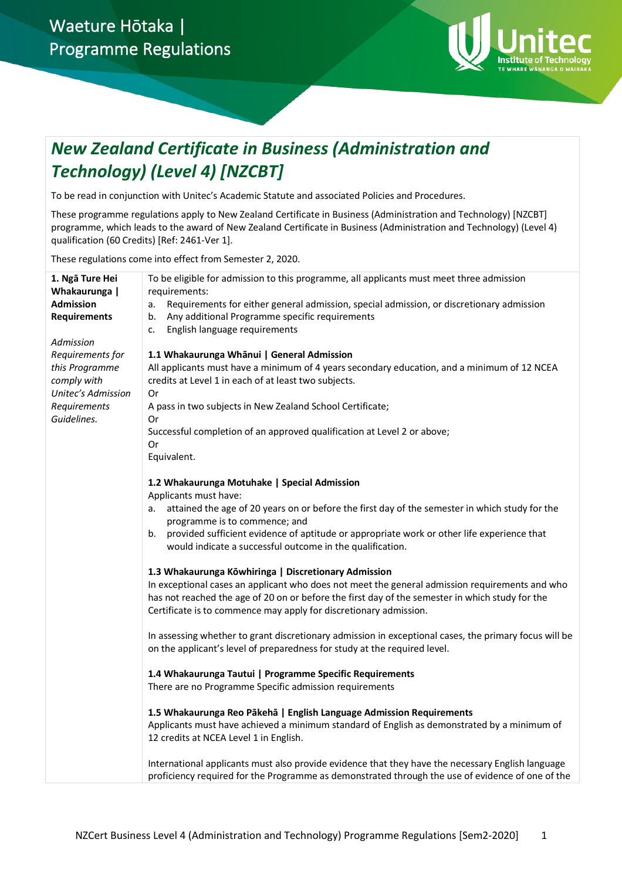

# *New Zealand Certificate in Business (Administration and Technology) (Level 4) [NZCBT]*

To be read in conjunction with Unitec's Academic Statute and associated Policies and Procedures.

These programme regulations apply to New Zealand Certificate in Business (Administration and Technology) [NZCBT] programme, which leads to the award of New Zealand Certificate in Business (Administration and Technology) (Level 4) qualification (60 Credits) [Ref: 2461-Ver 1].

These regulations come into effect from Semester 2, 2020.

| All applicants must have a minimum of 4 years secondary education, and a minimum of 12 NCEA                                                                                                                                                                                               |
|-------------------------------------------------------------------------------------------------------------------------------------------------------------------------------------------------------------------------------------------------------------------------------------------|
|                                                                                                                                                                                                                                                                                           |
|                                                                                                                                                                                                                                                                                           |
|                                                                                                                                                                                                                                                                                           |
|                                                                                                                                                                                                                                                                                           |
|                                                                                                                                                                                                                                                                                           |
|                                                                                                                                                                                                                                                                                           |
|                                                                                                                                                                                                                                                                                           |
|                                                                                                                                                                                                                                                                                           |
|                                                                                                                                                                                                                                                                                           |
|                                                                                                                                                                                                                                                                                           |
| attained the age of 20 years on or before the first day of the semester in which study for the                                                                                                                                                                                            |
|                                                                                                                                                                                                                                                                                           |
|                                                                                                                                                                                                                                                                                           |
|                                                                                                                                                                                                                                                                                           |
|                                                                                                                                                                                                                                                                                           |
|                                                                                                                                                                                                                                                                                           |
| In exceptional cases an applicant who does not meet the general admission requirements and who                                                                                                                                                                                            |
|                                                                                                                                                                                                                                                                                           |
|                                                                                                                                                                                                                                                                                           |
|                                                                                                                                                                                                                                                                                           |
| In assessing whether to grant discretionary admission in exceptional cases, the primary focus will be                                                                                                                                                                                     |
|                                                                                                                                                                                                                                                                                           |
|                                                                                                                                                                                                                                                                                           |
|                                                                                                                                                                                                                                                                                           |
|                                                                                                                                                                                                                                                                                           |
|                                                                                                                                                                                                                                                                                           |
|                                                                                                                                                                                                                                                                                           |
| Applicants must have achieved a minimum standard of English as demonstrated by a minimum of                                                                                                                                                                                               |
|                                                                                                                                                                                                                                                                                           |
|                                                                                                                                                                                                                                                                                           |
| International applicants must also provide evidence that they have the necessary English language                                                                                                                                                                                         |
| proficiency required for the Programme as demonstrated through the use of evidence of one of the                                                                                                                                                                                          |
| Requirements for either general admission, special admission, or discretionary admission<br>provided sufficient evidence of aptitude or appropriate work or other life experience that<br>has not reached the age of 20 on or before the first day of the semester in which study for the |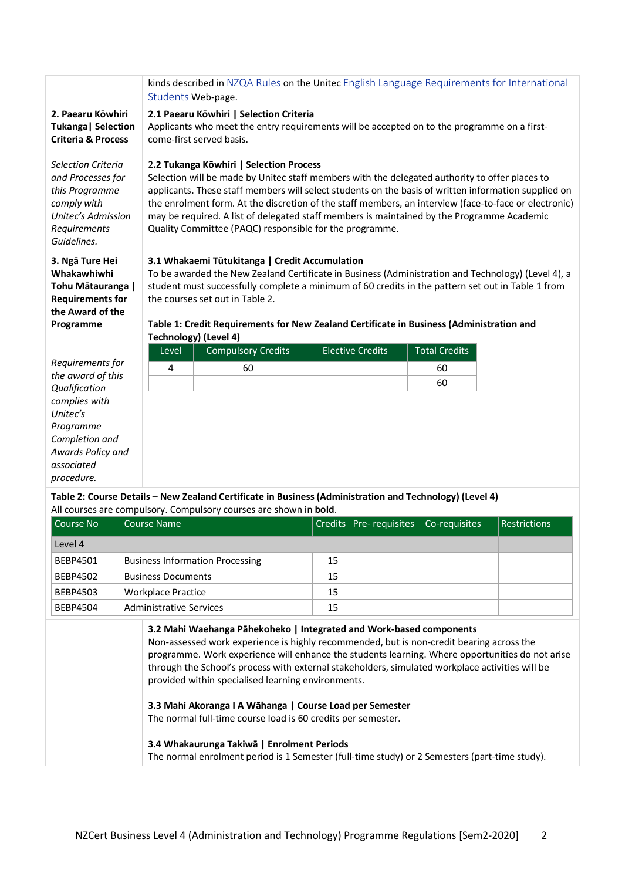|                                                                                                                               | kinds described in NZQA Rules on the Unitec English Language Requirements for International<br>Students Web-page.                                                                                                                                                                                                                                                                                                                                                                                                   |                                                                                                                                                                              |                         |                      |  |
|-------------------------------------------------------------------------------------------------------------------------------|---------------------------------------------------------------------------------------------------------------------------------------------------------------------------------------------------------------------------------------------------------------------------------------------------------------------------------------------------------------------------------------------------------------------------------------------------------------------------------------------------------------------|------------------------------------------------------------------------------------------------------------------------------------------------------------------------------|-------------------------|----------------------|--|
| 2. Paearu Kōwhiri<br>Tukanga   Selection<br><b>Criteria &amp; Process</b>                                                     | 2.1 Paearu Kōwhiri   Selection Criteria<br>Applicants who meet the entry requirements will be accepted on to the programme on a first-<br>come-first served basis.                                                                                                                                                                                                                                                                                                                                                  |                                                                                                                                                                              |                         |                      |  |
| Selection Criteria<br>and Processes for<br>this Programme<br>comply with<br>Unitec's Admission<br>Requirements<br>Guidelines. | 2.2 Tukanga Kōwhiri   Selection Process<br>Selection will be made by Unitec staff members with the delegated authority to offer places to<br>applicants. These staff members will select students on the basis of written information supplied on<br>the enrolment form. At the discretion of the staff members, an interview (face-to-face or electronic)<br>may be required. A list of delegated staff members is maintained by the Programme Academic<br>Quality Committee (PAQC) responsible for the programme. |                                                                                                                                                                              |                         |                      |  |
| 3. Ngā Ture Hei<br>Whakawhiwhi<br>Tohu Mātauranga  <br><b>Requirements for</b><br>the Award of the<br>Programme               | 3.1 Whakaemi Tūtukitanga   Credit Accumulation<br>To be awarded the New Zealand Certificate in Business (Administration and Technology) (Level 4), a<br>student must successfully complete a minimum of 60 credits in the pattern set out in Table 1 from<br>the courses set out in Table 2.<br>Table 1: Credit Requirements for New Zealand Certificate in Business (Administration and<br><b>Technology) (Level 4)</b>                                                                                            |                                                                                                                                                                              |                         |                      |  |
|                                                                                                                               | Level                                                                                                                                                                                                                                                                                                                                                                                                                                                                                                               | <b>Compulsory Credits</b>                                                                                                                                                    | <b>Elective Credits</b> | <b>Total Credits</b> |  |
| Requirements for                                                                                                              | 4                                                                                                                                                                                                                                                                                                                                                                                                                                                                                                                   | 60                                                                                                                                                                           |                         | 60                   |  |
| the award of this<br>Qualification                                                                                            |                                                                                                                                                                                                                                                                                                                                                                                                                                                                                                                     |                                                                                                                                                                              |                         | 60                   |  |
| complies with<br>Unitec's<br>Programme<br>Completion and<br>Awards Policy and<br>associated<br>procedure.                     |                                                                                                                                                                                                                                                                                                                                                                                                                                                                                                                     |                                                                                                                                                                              |                         |                      |  |
|                                                                                                                               |                                                                                                                                                                                                                                                                                                                                                                                                                                                                                                                     | Table 2: Course Details - New Zealand Certificate in Business (Administration and Technology) (Level 4)<br>All courses are compulsory. Compulsory courses are shown in bold. |                         |                      |  |

| Course No       | Course Name                            |    | Credits   Pre- requisites   Co-requisites | <b>Restrictions</b> |
|-----------------|----------------------------------------|----|-------------------------------------------|---------------------|
| Level 4         |                                        |    |                                           |                     |
| <b>BEBP4501</b> | <b>Business Information Processing</b> | 15 |                                           |                     |
| <b>BEBP4502</b> | <b>Business Documents</b>              | 15 |                                           |                     |
| <b>BEBP4503</b> | Workplace Practice                     | 15 |                                           |                     |
| <b>BEBP4504</b> | Administrative Services                | 15 |                                           |                     |

**3.2 Mahi Waehanga Pāhekoheko | Integrated and Work-based components** Non-assessed work experience is highly recommended, but is non-credit bearing across the programme. Work experience will enhance the students learning. Where opportunities do not arise through the School's process with external stakeholders, simulated workplace activities will be provided within specialised learning environments. **3.3 Mahi Akoranga I A Wāhanga | Course Load per Semester** The normal full-time course load is 60 credits per semester.

**3.4 Whakaurunga Takiwā | Enrolment Periods** The normal enrolment period is 1 Semester (full-time study) or 2 Semesters (part-time study).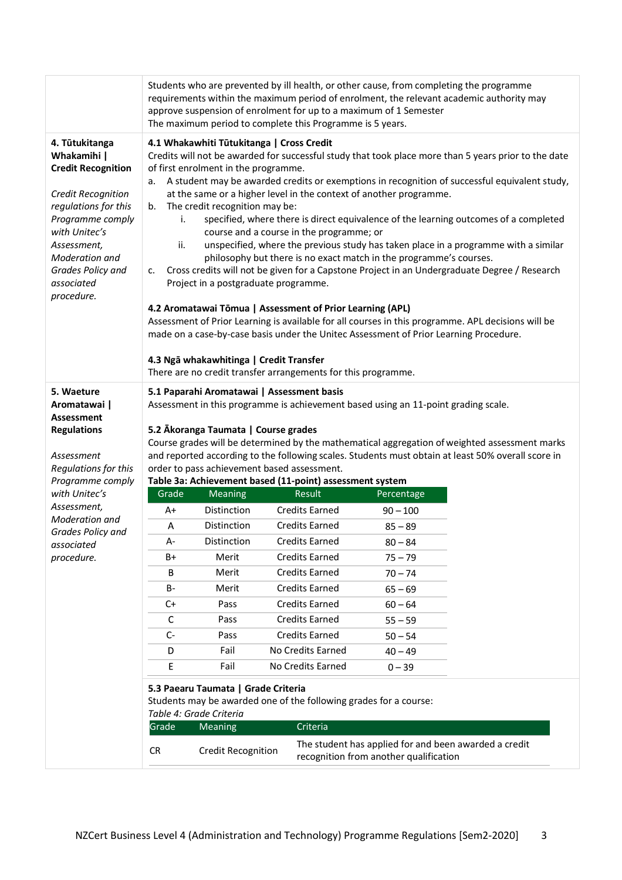|                                                                                                                                                                                                                                 | Students who are prevented by ill health, or other cause, from completing the programme<br>requirements within the maximum period of enrolment, the relevant academic authority may<br>approve suspension of enrolment for up to a maximum of 1 Semester<br>The maximum period to complete this Programme is 5 years.                                                                                                                                                                                                                                                                                                                                                                                                                                                                                                                                                                                                                                                                                                                                                                                                                                                             |                           |                                                               |                                                       |  |
|---------------------------------------------------------------------------------------------------------------------------------------------------------------------------------------------------------------------------------|-----------------------------------------------------------------------------------------------------------------------------------------------------------------------------------------------------------------------------------------------------------------------------------------------------------------------------------------------------------------------------------------------------------------------------------------------------------------------------------------------------------------------------------------------------------------------------------------------------------------------------------------------------------------------------------------------------------------------------------------------------------------------------------------------------------------------------------------------------------------------------------------------------------------------------------------------------------------------------------------------------------------------------------------------------------------------------------------------------------------------------------------------------------------------------------|---------------------------|---------------------------------------------------------------|-------------------------------------------------------|--|
| 4. Tūtukitanga<br>Whakamihi  <br><b>Credit Recognition</b><br>Credit Recognition<br>regulations for this<br>Programme comply<br>with Unitec's<br>Assessment,<br>Moderation and<br>Grades Policy and<br>associated<br>procedure. | 4.1 Whakawhiti Tūtukitanga   Cross Credit<br>Credits will not be awarded for successful study that took place more than 5 years prior to the date<br>of first enrolment in the programme.<br>A student may be awarded credits or exemptions in recognition of successful equivalent study,<br>a.<br>at the same or a higher level in the context of another programme.<br>The credit recognition may be:<br>b.<br>specified, where there is direct equivalence of the learning outcomes of a completed<br>i.<br>course and a course in the programme; or<br>unspecified, where the previous study has taken place in a programme with a similar<br>ii.<br>philosophy but there is no exact match in the programme's courses.<br>Cross credits will not be given for a Capstone Project in an Undergraduate Degree / Research<br>c.<br>Project in a postgraduate programme.<br>4.2 Aromatawai Tōmua   Assessment of Prior Learning (APL)<br>Assessment of Prior Learning is available for all courses in this programme. APL decisions will be<br>made on a case-by-case basis under the Unitec Assessment of Prior Learning Procedure.<br>4.3 Ngā whakawhitinga   Credit Transfer |                           |                                                               |                                                       |  |
|                                                                                                                                                                                                                                 |                                                                                                                                                                                                                                                                                                                                                                                                                                                                                                                                                                                                                                                                                                                                                                                                                                                                                                                                                                                                                                                                                                                                                                                   |                           | There are no credit transfer arrangements for this programme. |                                                       |  |
| 5. Waeture<br>Aromatawai  <br><b>Assessment</b><br><b>Regulations</b><br>Assessment<br>Regulations for this<br>Programme comply<br>with Unitec's<br>Assessment,<br>Moderation and<br>Grades Policy and<br>associated            | 5.1 Paparahi Aromatawai   Assessment basis<br>Assessment in this programme is achievement based using an 11-point grading scale.<br>5.2 Ākoranga Taumata   Course grades<br>Course grades will be determined by the mathematical aggregation of weighted assessment marks<br>and reported according to the following scales. Students must obtain at least 50% overall score in<br>order to pass achievement based assessment.<br>Table 3a: Achievement based (11-point) assessment system                                                                                                                                                                                                                                                                                                                                                                                                                                                                                                                                                                                                                                                                                        |                           |                                                               |                                                       |  |
|                                                                                                                                                                                                                                 | Grade                                                                                                                                                                                                                                                                                                                                                                                                                                                                                                                                                                                                                                                                                                                                                                                                                                                                                                                                                                                                                                                                                                                                                                             | Meaning                   | <b>Result</b>                                                 | Percentage                                            |  |
|                                                                                                                                                                                                                                 | A+                                                                                                                                                                                                                                                                                                                                                                                                                                                                                                                                                                                                                                                                                                                                                                                                                                                                                                                                                                                                                                                                                                                                                                                | Distinction               | <b>Credits Earned</b>                                         | $90 - 100$                                            |  |
|                                                                                                                                                                                                                                 | Α                                                                                                                                                                                                                                                                                                                                                                                                                                                                                                                                                                                                                                                                                                                                                                                                                                                                                                                                                                                                                                                                                                                                                                                 | Distinction               | <b>Credits Earned</b>                                         | $85 - 89$                                             |  |
|                                                                                                                                                                                                                                 | А-                                                                                                                                                                                                                                                                                                                                                                                                                                                                                                                                                                                                                                                                                                                                                                                                                                                                                                                                                                                                                                                                                                                                                                                | Distinction               | <b>Credits Earned</b>                                         | $80 - 84$                                             |  |
| procedure.                                                                                                                                                                                                                      | B+                                                                                                                                                                                                                                                                                                                                                                                                                                                                                                                                                                                                                                                                                                                                                                                                                                                                                                                                                                                                                                                                                                                                                                                | Merit                     | <b>Credits Earned</b>                                         | $75 - 79$                                             |  |
|                                                                                                                                                                                                                                 | В                                                                                                                                                                                                                                                                                                                                                                                                                                                                                                                                                                                                                                                                                                                                                                                                                                                                                                                                                                                                                                                                                                                                                                                 | Merit                     | <b>Credits Earned</b>                                         | $70 - 74$                                             |  |
|                                                                                                                                                                                                                                 | В-                                                                                                                                                                                                                                                                                                                                                                                                                                                                                                                                                                                                                                                                                                                                                                                                                                                                                                                                                                                                                                                                                                                                                                                | Merit                     | <b>Credits Earned</b>                                         | $65 - 69$                                             |  |
|                                                                                                                                                                                                                                 | $C+$                                                                                                                                                                                                                                                                                                                                                                                                                                                                                                                                                                                                                                                                                                                                                                                                                                                                                                                                                                                                                                                                                                                                                                              | Pass                      | <b>Credits Earned</b>                                         | $60 - 64$                                             |  |
|                                                                                                                                                                                                                                 | C                                                                                                                                                                                                                                                                                                                                                                                                                                                                                                                                                                                                                                                                                                                                                                                                                                                                                                                                                                                                                                                                                                                                                                                 | Pass                      | <b>Credits Earned</b>                                         | $55 - 59$                                             |  |
|                                                                                                                                                                                                                                 | C-                                                                                                                                                                                                                                                                                                                                                                                                                                                                                                                                                                                                                                                                                                                                                                                                                                                                                                                                                                                                                                                                                                                                                                                | Pass                      | <b>Credits Earned</b>                                         | $50 - 54$                                             |  |
|                                                                                                                                                                                                                                 | D                                                                                                                                                                                                                                                                                                                                                                                                                                                                                                                                                                                                                                                                                                                                                                                                                                                                                                                                                                                                                                                                                                                                                                                 | Fail                      | No Credits Earned                                             | $40 - 49$                                             |  |
|                                                                                                                                                                                                                                 | Е                                                                                                                                                                                                                                                                                                                                                                                                                                                                                                                                                                                                                                                                                                                                                                                                                                                                                                                                                                                                                                                                                                                                                                                 | Fail                      | No Credits Earned                                             | $0 - 39$                                              |  |
|                                                                                                                                                                                                                                 | 5.3 Paearu Taumata   Grade Criteria<br>Students may be awarded one of the following grades for a course:<br>Table 4: Grade Criteria<br>Grade<br>Criteria<br><b>Meaning</b>                                                                                                                                                                                                                                                                                                                                                                                                                                                                                                                                                                                                                                                                                                                                                                                                                                                                                                                                                                                                        |                           |                                                               |                                                       |  |
|                                                                                                                                                                                                                                 |                                                                                                                                                                                                                                                                                                                                                                                                                                                                                                                                                                                                                                                                                                                                                                                                                                                                                                                                                                                                                                                                                                                                                                                   |                           |                                                               | The student has applied for and been awarded a credit |  |
|                                                                                                                                                                                                                                 | CR                                                                                                                                                                                                                                                                                                                                                                                                                                                                                                                                                                                                                                                                                                                                                                                                                                                                                                                                                                                                                                                                                                                                                                                | <b>Credit Recognition</b> |                                                               | recognition from another qualification                |  |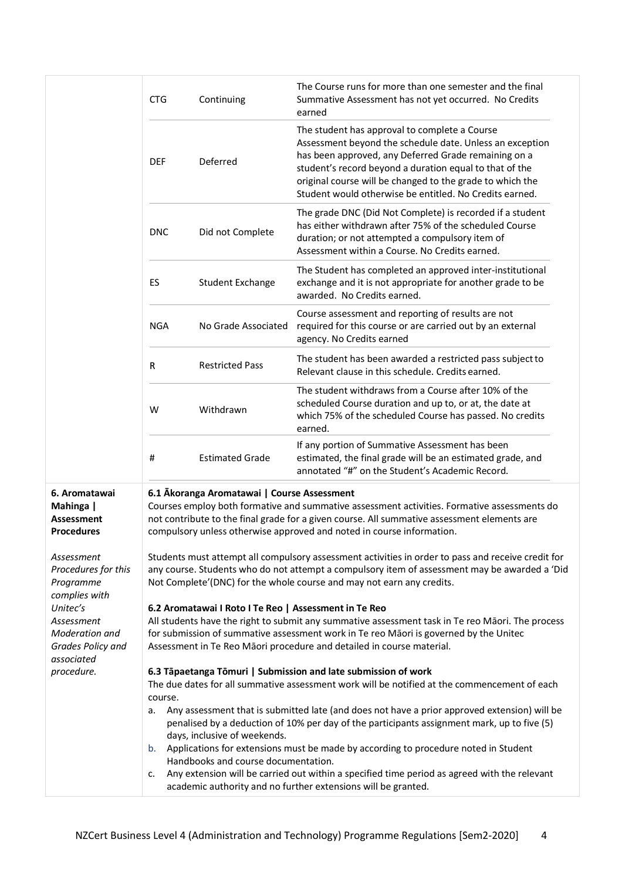|                                                     | <b>CTG</b>                                                                                                                                                                                                 | Continuing                                            | The Course runs for more than one semester and the final<br>Summative Assessment has not yet occurred. No Credits<br>earned                                                                                                                                                                                                                          |  |
|-----------------------------------------------------|------------------------------------------------------------------------------------------------------------------------------------------------------------------------------------------------------------|-------------------------------------------------------|------------------------------------------------------------------------------------------------------------------------------------------------------------------------------------------------------------------------------------------------------------------------------------------------------------------------------------------------------|--|
|                                                     | <b>DEF</b>                                                                                                                                                                                                 | Deferred                                              | The student has approval to complete a Course<br>Assessment beyond the schedule date. Unless an exception<br>has been approved, any Deferred Grade remaining on a<br>student's record beyond a duration equal to that of the<br>original course will be changed to the grade to which the<br>Student would otherwise be entitled. No Credits earned. |  |
|                                                     | <b>DNC</b>                                                                                                                                                                                                 | Did not Complete                                      | The grade DNC (Did Not Complete) is recorded if a student<br>has either withdrawn after 75% of the scheduled Course<br>duration; or not attempted a compulsory item of<br>Assessment within a Course. No Credits earned.                                                                                                                             |  |
|                                                     | ES                                                                                                                                                                                                         | <b>Student Exchange</b>                               | The Student has completed an approved inter-institutional<br>exchange and it is not appropriate for another grade to be<br>awarded. No Credits earned.                                                                                                                                                                                               |  |
|                                                     | <b>NGA</b>                                                                                                                                                                                                 | No Grade Associated                                   | Course assessment and reporting of results are not<br>required for this course or are carried out by an external<br>agency. No Credits earned                                                                                                                                                                                                        |  |
|                                                     | R                                                                                                                                                                                                          | <b>Restricted Pass</b>                                | The student has been awarded a restricted pass subject to<br>Relevant clause in this schedule. Credits earned.                                                                                                                                                                                                                                       |  |
|                                                     | W                                                                                                                                                                                                          | Withdrawn                                             | The student withdraws from a Course after 10% of the<br>scheduled Course duration and up to, or at, the date at<br>which 75% of the scheduled Course has passed. No credits<br>earned.                                                                                                                                                               |  |
|                                                     | #                                                                                                                                                                                                          | <b>Estimated Grade</b>                                | If any portion of Summative Assessment has been<br>estimated, the final grade will be an estimated grade, and<br>annotated "#" on the Student's Academic Record.                                                                                                                                                                                     |  |
| 6. Aromatawai                                       |                                                                                                                                                                                                            | 6.1 Akoranga Aromatawai   Course Assessment           |                                                                                                                                                                                                                                                                                                                                                      |  |
| Mahinga  <br><b>Assessment</b><br><b>Procedures</b> |                                                                                                                                                                                                            |                                                       | Courses employ both formative and summative assessment activities. Formative assessments do<br>not contribute to the final grade for a given course. All summative assessment elements are<br>compulsory unless otherwise approved and noted in course information.                                                                                  |  |
| Assessment<br>Procedures for this<br>Programme      |                                                                                                                                                                                                            |                                                       | Students must attempt all compulsory assessment activities in order to pass and receive credit for<br>any course. Students who do not attempt a compulsory item of assessment may be awarded a 'Did<br>Not Complete'(DNC) for the whole course and may not earn any credits.                                                                         |  |
| complies with<br>Unitec's                           |                                                                                                                                                                                                            | 6.2 Aromatawai I Roto I Te Reo   Assessment in Te Reo |                                                                                                                                                                                                                                                                                                                                                      |  |
| Assessment                                          |                                                                                                                                                                                                            |                                                       | All students have the right to submit any summative assessment task in Te reo Māori. The process                                                                                                                                                                                                                                                     |  |
| Moderation and<br>Grades Policy and<br>associated   |                                                                                                                                                                                                            |                                                       | for submission of summative assessment work in Te reo Māori is governed by the Unitec<br>Assessment in Te Reo Māori procedure and detailed in course material.                                                                                                                                                                                       |  |
| procedure.                                          |                                                                                                                                                                                                            |                                                       | 6.3 Tāpaetanga Tōmuri   Submission and late submission of work                                                                                                                                                                                                                                                                                       |  |
|                                                     | The due dates for all summative assessment work will be notified at the commencement of each<br>course.                                                                                                    |                                                       |                                                                                                                                                                                                                                                                                                                                                      |  |
|                                                     | а.                                                                                                                                                                                                         | days, inclusive of weekends.                          | Any assessment that is submitted late (and does not have a prior approved extension) will be<br>penalised by a deduction of 10% per day of the participants assignment mark, up to five (5)                                                                                                                                                          |  |
|                                                     | b.                                                                                                                                                                                                         |                                                       | Applications for extensions must be made by according to procedure noted in Student                                                                                                                                                                                                                                                                  |  |
|                                                     | Handbooks and course documentation.<br>Any extension will be carried out within a specified time period as agreed with the relevant<br>c.<br>academic authority and no further extensions will be granted. |                                                       |                                                                                                                                                                                                                                                                                                                                                      |  |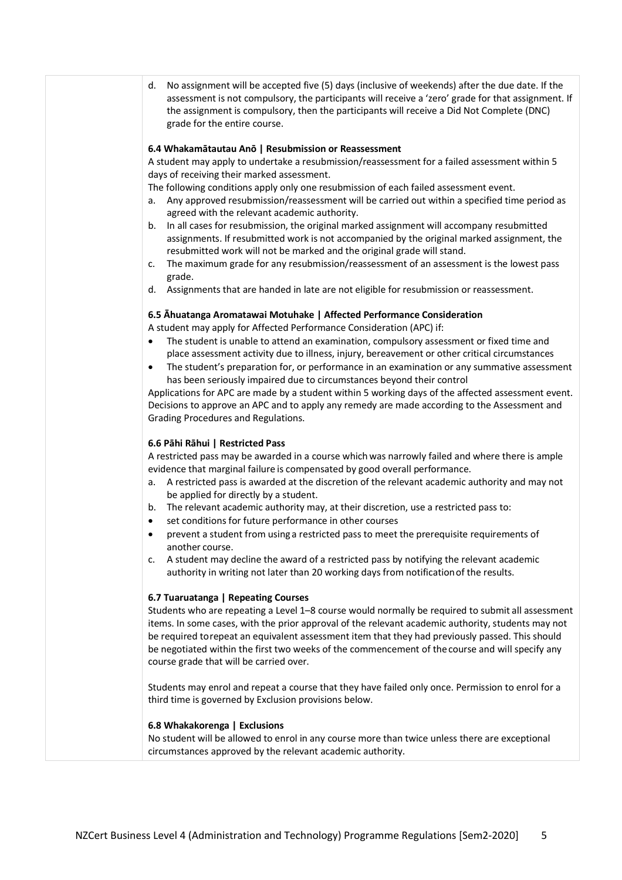d. No assignment will be accepted five (5) days (inclusive of weekends) after the due date. If the assessment is not compulsory, the participants will receive a 'zero' grade for that assignment. If the assignment is compulsory, then the participants will receive a Did Not Complete (DNC) grade for the entire course.

### **6.4 Whakamātautau Anō | Resubmission or Reassessment**

A student may apply to undertake a resubmission/reassessment for a failed assessment within 5 days of receiving their marked assessment.

The following conditions apply only one resubmission of each failed assessment event.

- a. Any approved resubmission/reassessment will be carried out within a specified time period as agreed with the relevant academic authority.
- b. In all cases for resubmission, the original marked assignment will accompany resubmitted assignments. If resubmitted work is not accompanied by the original marked assignment, the resubmitted work will not be marked and the original grade will stand.
- c. The maximum grade for any resubmission/reassessment of an assessment is the lowest pass grade.
- d. Assignments that are handed in late are not eligible for resubmission or reassessment.

# **6.5 Āhuatanga Aromatawai Motuhake | Affected Performance Consideration**

A student may apply for Affected Performance Consideration (APC) if:

- The student is unable to attend an examination, compulsory assessment or fixed time and place assessment activity due to illness, injury, bereavement or other critical circumstances
- The student's preparation for, or performance in an examination or any summative assessment has been seriously impaired due to circumstances beyond their control

Applications for APC are made by a student within 5 working days of the affected assessment event. Decisions to approve an APC and to apply any remedy are made according to the Assessment and Grading Procedures and Regulations.

#### **6.6 Pāhi Rāhui | Restricted Pass**

A restricted pass may be awarded in a course whichwas narrowly failed and where there is ample evidence that marginal failure is compensated by good overall performance.

- a. A restricted pass is awarded at the discretion of the relevant academic authority and may not be applied for directly by a student.
- b. The relevant academic authority may, at their discretion, use a restricted pass to:
- set conditions for future performance in other courses
- prevent a student from using a restricted pass to meet the prerequisite requirements of another course.
- c. A student may decline the award of a restricted pass by notifying the relevant academic authority in writing not later than 20 working days from notificationof the results.

#### **6.7 Tuaruatanga | Repeating Courses**

Students who are repeating a Level 1–8 course would normally be required to submit all assessment items. In some cases, with the prior approval of the relevant academic authority, students may not be required torepeat an equivalent assessment item that they had previously passed. This should be negotiated within the first two weeks of the commencement of thecourse and will specify any course grade that will be carried over.

Students may enrol and repeat a course that they have failed only once. Permission to enrol for a third time is governed by Exclusion provisions below.

## **6.8 Whakakorenga | Exclusions**

No student will be allowed to enrol in any course more than twice unless there are exceptional circumstances approved by the relevant academic authority.